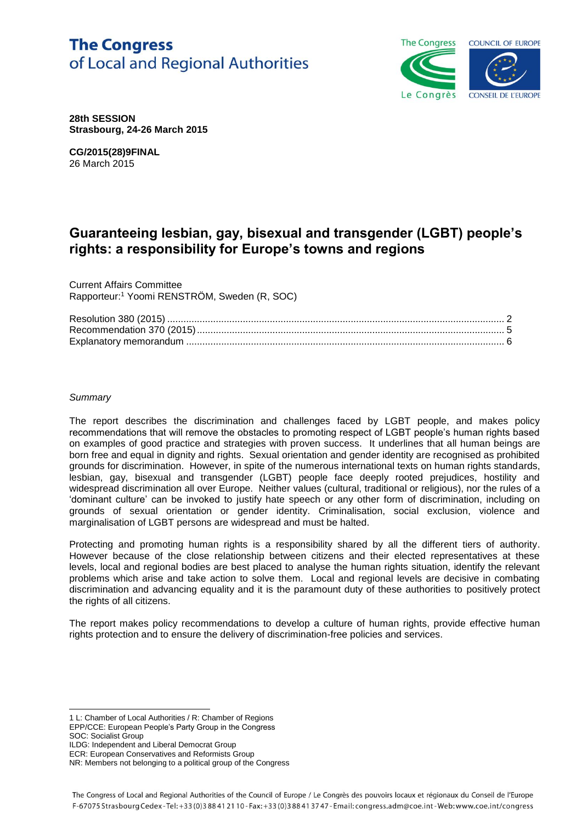# **The Congress** of Local and Regional Authorities



**28th SESSION Strasbourg, 24-26 March 2015**

**CG/2015(28)9FINAL** 26 March 2015

# **Guaranteeing lesbian, gay, bisexual and transgender (LGBT) people's rights: a responsibility for Europe's towns and regions**

Current Affairs Committee Rapporteur:<sup>1</sup> Yoomi RENSTRÖM, Sweden (R, SOC)

#### *Summary*

The report describes the discrimination and challenges faced by LGBT people, and makes policy recommendations that will remove the obstacles to promoting respect of LGBT people's human rights based on examples of good practice and strategies with proven success. It underlines that all human beings are born free and equal in dignity and rights. Sexual orientation and gender identity are recognised as prohibited grounds for discrimination. However, in spite of the numerous international texts on human rights standards, lesbian, gay, bisexual and transgender (LGBT) people face deeply rooted prejudices, hostility and widespread discrimination all over Europe. Neither values (cultural, traditional or religious), nor the rules of a 'dominant culture' can be invoked to justify hate speech or any other form of discrimination, including on grounds of sexual orientation or gender identity. Criminalisation, social exclusion, violence and marginalisation of LGBT persons are widespread and must be halted.

Protecting and promoting human rights is a responsibility shared by all the different tiers of authority. However because of the close relationship between citizens and their elected representatives at these levels, local and regional bodies are best placed to analyse the human rights situation, identify the relevant problems which arise and take action to solve them. Local and regional levels are decisive in combating discrimination and advancing equality and it is the paramount duty of these authorities to positively protect the rights of all citizens.

The report makes policy recommendations to develop a culture of human rights, provide effective human rights protection and to ensure the delivery of discrimination-free policies and services.

1 L: Chamber of Local Authorities / R: Chamber of Regions

EPP/CCE: European People's Party Group in the Congress SOC: Socialist Group

l

ILDG: Independent and Liberal Democrat Group ECR: European Conservatives and Reformists Group

NR: Members not belonging to a political group of the Congress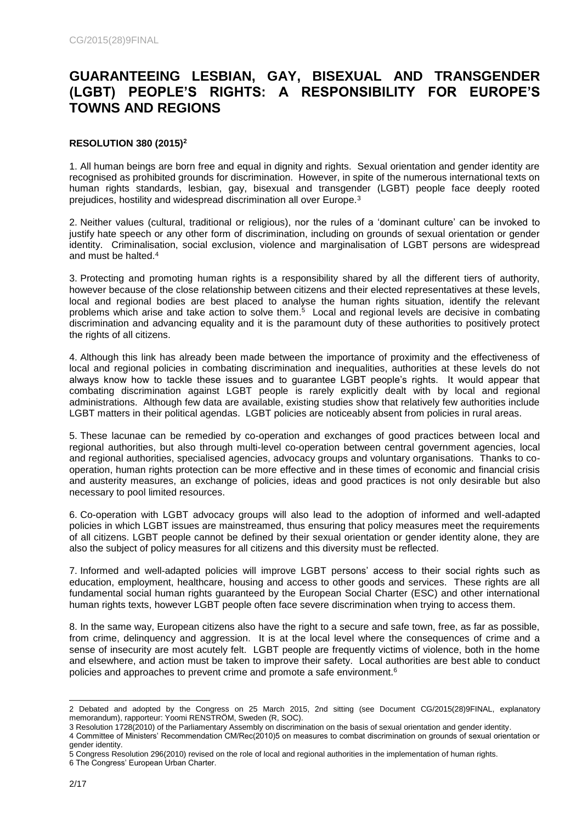# **GUARANTEEING LESBIAN, GAY, BISEXUAL AND TRANSGENDER (LGBT) PEOPLE'S RIGHTS: A RESPONSIBILITY FOR EUROPE'S TOWNS AND REGIONS**

# **RESOLUTION 380 (2015)<sup>2</sup>**

1. All human beings are born free and equal in dignity and rights. Sexual orientation and gender identity are recognised as prohibited grounds for discrimination. However, in spite of the numerous international texts on human rights standards, lesbian, gay, bisexual and transgender (LGBT) people face deeply rooted prejudices, hostility and widespread discrimination all over Europe.<sup>3</sup>

2. Neither values (cultural, traditional or religious), nor the rules of a 'dominant culture' can be invoked to justify hate speech or any other form of discrimination, including on grounds of sexual orientation or gender identity. Criminalisation, social exclusion, violence and marginalisation of LGBT persons are widespread and must be halted.<sup>4</sup>

3. Protecting and promoting human rights is a responsibility shared by all the different tiers of authority, however because of the close relationship between citizens and their elected representatives at these levels, local and regional bodies are best placed to analyse the human rights situation, identify the relevant problems which arise and take action to solve them.<sup>5</sup> Local and regional levels are decisive in combating discrimination and advancing equality and it is the paramount duty of these authorities to positively protect the rights of all citizens.

4. Although this link has already been made between the importance of proximity and the effectiveness of local and regional policies in combating discrimination and inequalities, authorities at these levels do not always know how to tackle these issues and to guarantee LGBT people's rights. It would appear that combating discrimination against LGBT people is rarely explicitly dealt with by local and regional administrations. Although few data are available, existing studies show that relatively few authorities include LGBT matters in their political agendas. LGBT policies are noticeably absent from policies in rural areas.

5. These lacunae can be remedied by co-operation and exchanges of good practices between local and regional authorities, but also through multi-level co-operation between central government agencies, local and regional authorities, specialised agencies, advocacy groups and voluntary organisations. Thanks to cooperation, human rights protection can be more effective and in these times of economic and financial crisis and austerity measures, an exchange of policies, ideas and good practices is not only desirable but also necessary to pool limited resources.

6. Co-operation with LGBT advocacy groups will also lead to the adoption of informed and well-adapted policies in which LGBT issues are mainstreamed, thus ensuring that policy measures meet the requirements of all citizens. LGBT people cannot be defined by their sexual orientation or gender identity alone, they are also the subject of policy measures for all citizens and this diversity must be reflected.

7. Informed and well-adapted policies will improve LGBT persons' access to their social rights such as education, employment, healthcare, housing and access to other goods and services. These rights are all fundamental social human rights guaranteed by the European Social Charter (ESC) and other international human rights texts, however LGBT people often face severe discrimination when trying to access them.

8. In the same way, European citizens also have the right to a secure and safe town, free, as far as possible, from crime, delinquency and aggression. It is at the local level where the consequences of crime and a sense of insecurity are most acutely felt. LGBT people are frequently victims of violence, both in the home and elsewhere, and action must be taken to improve their safety. Local authorities are best able to conduct policies and approaches to prevent crime and promote a safe environment.<sup>6</sup>

l 2 Debated and adopted by the Congress on 25 March 2015, 2nd sitting (see Document CG/2015(28)9FINAL, explanatory memorandum), rapporteur: Yoomi RENSTRÖM, Sweden (R, SOC).

<sup>3</sup> Resolution 1728(2010) of the Parliamentary Assembly on discrimination on the basis of sexual orientation and gender identity.

<sup>4</sup> Committee of Ministers' Recommendation CM/Rec(2010)5 on measures to combat discrimination on grounds of sexual orientation or gender identity.

<sup>5</sup> Congress Resolution 296(2010) revised on the role of local and regional authorities in the implementation of human rights. 6 The Congress' European Urban Charter.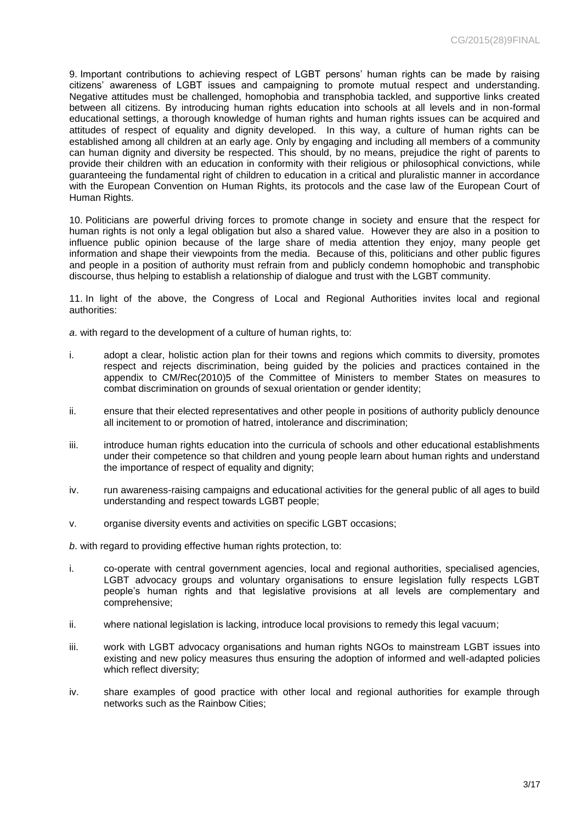9. Important contributions to achieving respect of LGBT persons' human rights can be made by raising citizens' awareness of LGBT issues and campaigning to promote mutual respect and understanding. Negative attitudes must be challenged, homophobia and transphobia tackled, and supportive links created between all citizens. By introducing human rights education into schools at all levels and in non-formal educational settings, a thorough knowledge of human rights and human rights issues can be acquired and attitudes of respect of equality and dignity developed. In this way, a culture of human rights can be established among all children at an early age. Only by engaging and including all members of a community can human dignity and diversity be respected. This should, by no means, prejudice the right of parents to provide their children with an education in conformity with their religious or philosophical convictions, while guaranteeing the fundamental right of children to education in a critical and pluralistic manner in accordance with the European Convention on Human Rights, its protocols and the case law of the European Court of Human Rights.

10. Politicians are powerful driving forces to promote change in society and ensure that the respect for human rights is not only a legal obligation but also a shared value. However they are also in a position to influence public opinion because of the large share of media attention they enjoy, many people get information and shape their viewpoints from the media. Because of this, politicians and other public figures and people in a position of authority must refrain from and publicly condemn homophobic and transphobic discourse, thus helping to establish a relationship of dialogue and trust with the LGBT community.

11. In light of the above, the Congress of Local and Regional Authorities invites local and regional authorities:

*a*. with regard to the development of a culture of human rights, to:

- i. adopt a clear, holistic action plan for their towns and regions which commits to diversity, promotes respect and rejects discrimination, being guided by the policies and practices contained in the appendix to CM/Rec(2010)5 of the Committee of Ministers to member States on measures to combat discrimination on grounds of sexual orientation or gender identity;
- ii. ensure that their elected representatives and other people in positions of authority publicly denounce all incitement to or promotion of hatred, intolerance and discrimination;
- iii. introduce human rights education into the curricula of schools and other educational establishments under their competence so that children and young people learn about human rights and understand the importance of respect of equality and dignity;
- iv. run awareness-raising campaigns and educational activities for the general public of all ages to build understanding and respect towards LGBT people;
- v. organise diversity events and activities on specific LGBT occasions;

*b*. with regard to providing effective human rights protection, to:

- i. co-operate with central government agencies, local and regional authorities, specialised agencies, LGBT advocacy groups and voluntary organisations to ensure legislation fully respects LGBT people's human rights and that legislative provisions at all levels are complementary and comprehensive;
- ii. where national legislation is lacking, introduce local provisions to remedy this legal vacuum;
- iii. work with LGBT advocacy organisations and human rights NGOs to mainstream LGBT issues into existing and new policy measures thus ensuring the adoption of informed and well-adapted policies which reflect diversity;
- iv. share examples of good practice with other local and regional authorities for example through networks such as the Rainbow Cities;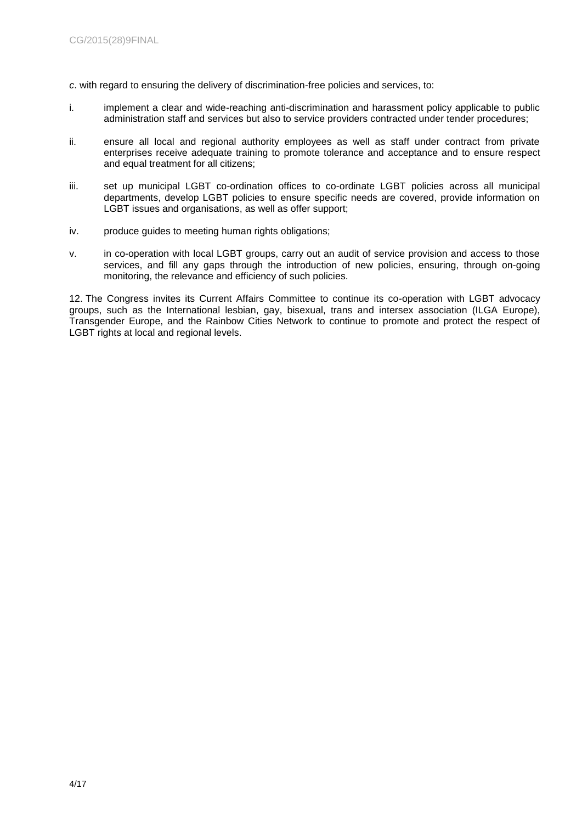- *c*. with regard to ensuring the delivery of discrimination-free policies and services, to:
- i. implement a clear and wide-reaching anti-discrimination and harassment policy applicable to public administration staff and services but also to service providers contracted under tender procedures;
- ii. ensure all local and regional authority employees as well as staff under contract from private enterprises receive adequate training to promote tolerance and acceptance and to ensure respect and equal treatment for all citizens;
- iii. set up municipal LGBT co-ordination offices to co-ordinate LGBT policies across all municipal departments, develop LGBT policies to ensure specific needs are covered, provide information on LGBT issues and organisations, as well as offer support;
- iv. produce guides to meeting human rights obligations;
- v. in co-operation with local LGBT groups, carry out an audit of service provision and access to those services, and fill any gaps through the introduction of new policies, ensuring, through on-going monitoring, the relevance and efficiency of such policies.

12. The Congress invites its Current Affairs Committee to continue its co-operation with LGBT advocacy groups, such as the International lesbian, gay, bisexual, trans and intersex association (ILGA Europe), Transgender Europe, and the Rainbow Cities Network to continue to promote and protect the respect of LGBT rights at local and regional levels.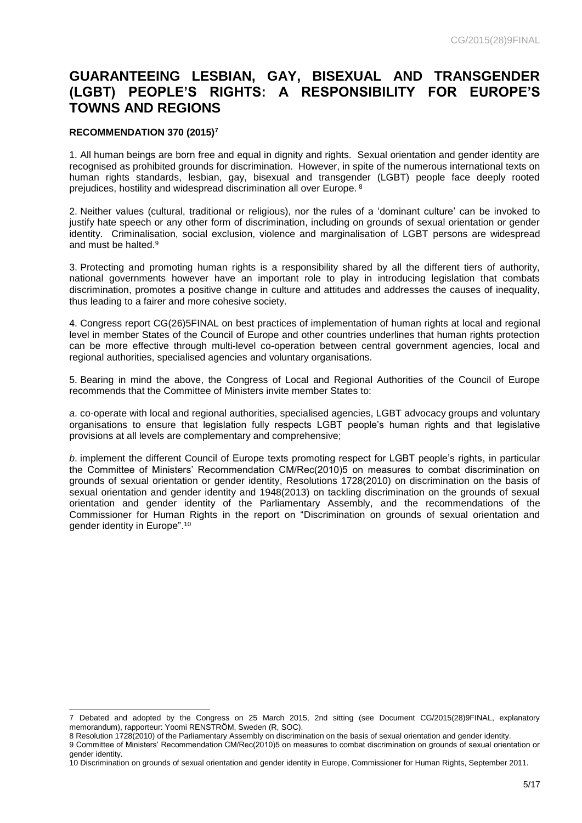# **GUARANTEEING LESBIAN, GAY, BISEXUAL AND TRANSGENDER (LGBT) PEOPLE'S RIGHTS: A RESPONSIBILITY FOR EUROPE'S TOWNS AND REGIONS**

### **RECOMMENDATION 370 (2015)<sup>7</sup>**

1. All human beings are born free and equal in dignity and rights. Sexual orientation and gender identity are recognised as prohibited grounds for discrimination. However, in spite of the numerous international texts on human rights standards, lesbian, gay, bisexual and transgender (LGBT) people face deeply rooted prejudices, hostility and widespread discrimination all over Europe. <sup>8</sup>

2. Neither values (cultural, traditional or religious), nor the rules of a 'dominant culture' can be invoked to justify hate speech or any other form of discrimination, including on grounds of sexual orientation or gender identity. Criminalisation, social exclusion, violence and marginalisation of LGBT persons are widespread and must be halted.<sup>9</sup>

3. Protecting and promoting human rights is a responsibility shared by all the different tiers of authority, national governments however have an important role to play in introducing legislation that combats discrimination, promotes a positive change in culture and attitudes and addresses the causes of inequality, thus leading to a fairer and more cohesive society.

4. Congress report CG(26)5FINAL on best practices of implementation of human rights at local and regional level in member States of the Council of Europe and other countries underlines that human rights protection can be more effective through multi-level co-operation between central government agencies, local and regional authorities, specialised agencies and voluntary organisations.

5. Bearing in mind the above, the Congress of Local and Regional Authorities of the Council of Europe recommends that the Committee of Ministers invite member States to:

*a*. co-operate with local and regional authorities, specialised agencies, LGBT advocacy groups and voluntary organisations to ensure that legislation fully respects LGBT people's human rights and that legislative provisions at all levels are complementary and comprehensive;

*b*. implement the different Council of Europe texts promoting respect for LGBT people's rights, in particular the Committee of Ministers' Recommendation CM/Rec(2010)5 on measures to combat discrimination on grounds of sexual orientation or gender identity, Resolutions 1728(2010) on discrimination on the basis of sexual orientation and gender identity and 1948(2013) on tackling discrimination on the grounds of sexual orientation and gender identity of the Parliamentary Assembly, and the recommendations of the Commissioner for Human Rights in the report on "Discrimination on grounds of sexual orientation and gender identity in Europe".<sup>10</sup>

l 7 Debated and adopted by the Congress on 25 March 2015, 2nd sitting (see Document CG/2015(28)9FINAL, explanatory memorandum), rapporteur: Yoomi RENSTRÖM, Sweden (R, SOC).

<sup>8</sup> Resolution 1728(2010) of the Parliamentary Assembly on discrimination on the basis of sexual orientation and gender identity. 9 Committee of Ministers' Recommendation CM/Rec(2010)5 on measures to combat discrimination on grounds of sexual orientation or gender identity.

<sup>10</sup> Discrimination on grounds of sexual orientation and gender identity in Europe, Commissioner for Human Rights, September 2011.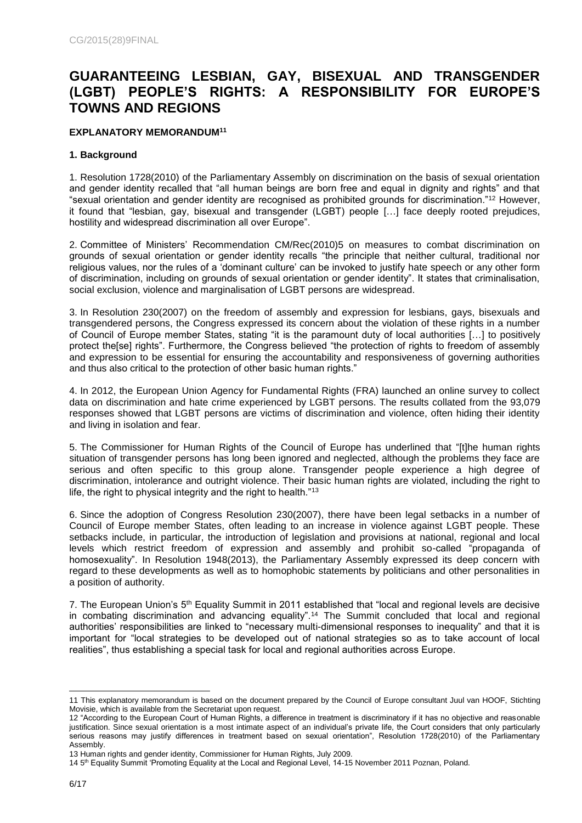# **GUARANTEEING LESBIAN, GAY, BISEXUAL AND TRANSGENDER (LGBT) PEOPLE'S RIGHTS: A RESPONSIBILITY FOR EUROPE'S TOWNS AND REGIONS**

# **EXPLANATORY MEMORANDUM<sup>11</sup>**

# **1. Background**

1. Resolution 1728(2010) of the Parliamentary Assembly on discrimination on the basis of sexual orientation and gender identity recalled that "all human beings are born free and equal in dignity and rights" and that "sexual orientation and gender identity are recognised as prohibited grounds for discrimination."<sup>12</sup> However, it found that "lesbian, gay, bisexual and transgender (LGBT) people […] face deeply rooted prejudices, hostility and widespread discrimination all over Europe".

2. Committee of Ministers' Recommendation CM/Rec(2010)5 on measures to combat discrimination on grounds of sexual orientation or gender identity recalls "the principle that neither cultural, traditional nor religious values, nor the rules of a 'dominant culture' can be invoked to justify hate speech or any other form of discrimination, including on grounds of sexual orientation or gender identity". It states that criminalisation, social exclusion, violence and marginalisation of LGBT persons are widespread.

3. In Resolution 230(2007) on the freedom of assembly and expression for lesbians, gays, bisexuals and transgendered persons, the Congress expressed its concern about the violation of these rights in a number of Council of Europe member States, stating "it is the paramount duty of local authorities […] to positively protect the[se] rights". Furthermore, the Congress believed "the protection of rights to freedom of assembly and expression to be essential for ensuring the accountability and responsiveness of governing authorities and thus also critical to the protection of other basic human rights."

4. In 2012, the European Union Agency for Fundamental Rights (FRA) launched an online survey to collect data on discrimination and hate crime experienced by LGBT persons. The results collated from the 93,079 responses showed that LGBT persons are victims of discrimination and violence, often hiding their identity and living in isolation and fear.

5. The Commissioner for Human Rights of the Council of Europe has underlined that "[t]he human rights situation of transgender persons has long been ignored and neglected, although the problems they face are serious and often specific to this group alone. Transgender people experience a high degree of discrimination, intolerance and outright violence. Their basic human rights are violated, including the right to life, the right to physical integrity and the right to health."<sup>13</sup>

6. Since the adoption of Congress Resolution 230(2007), there have been legal setbacks in a number of Council of Europe member States, often leading to an increase in violence against LGBT people. These setbacks include, in particular, the introduction of legislation and provisions at national, regional and local levels which restrict freedom of expression and assembly and prohibit so-called "propaganda of homosexuality". In Resolution 1948(2013), the Parliamentary Assembly expressed its deep concern with regard to these developments as well as to homophobic statements by politicians and other personalities in a position of authority.

7. The European Union's 5<sup>th</sup> Equality Summit in 2011 established that "local and regional levels are decisive in combating discrimination and advancing equality".<sup>14</sup> The Summit concluded that local and regional authorities' responsibilities are linked to "necessary multi-dimensional responses to inequality" and that it is important for "local strategies to be developed out of national strategies so as to take account of local realities", thus establishing a special task for local and regional authorities across Europe.

l 11 This explanatory memorandum is based on the document prepared by the Council of Europe consultant Juul van HOOF, Stichting Movisie, which is available from the Secretariat upon request.

<sup>12</sup> "According to the European Court of Human Rights, a difference in treatment is discriminatory if it has no objective and reasonable justification. Since sexual orientation is a most intimate aspect of an individual's private life, the Court considers that only particularly serious reasons may justify differences in treatment based on sexual orientation", Resolution 1728(2010) of the Parliamentary Assembly.

<sup>13</sup> Human rights and gender identity, Commissioner for Human Rights, July 2009.

<sup>14 5&</sup>lt;sup>th</sup> Equality Summit 'Promoting Equality at the Local and Regional Level, 14-15 November 2011 Poznan, Poland.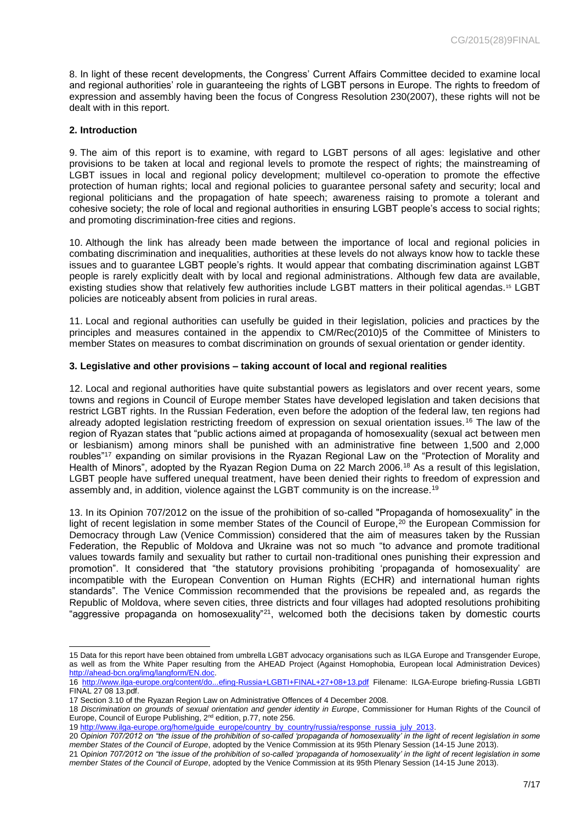8. In light of these recent developments, the Congress' Current Affairs Committee decided to examine local and regional authorities' role in guaranteeing the rights of LGBT persons in Europe. The rights to freedom of expression and assembly having been the focus of Congress Resolution 230(2007), these rights will not be dealt with in this report.

### **2. Introduction**

9. The aim of this report is to examine, with regard to LGBT persons of all ages: legislative and other provisions to be taken at local and regional levels to promote the respect of rights; the mainstreaming of LGBT issues in local and regional policy development; multilevel co-operation to promote the effective protection of human rights; local and regional policies to guarantee personal safety and security; local and regional politicians and the propagation of hate speech; awareness raising to promote a tolerant and cohesive society; the role of local and regional authorities in ensuring LGBT people's access to social rights; and promoting discrimination-free cities and regions.

10. Although the link has already been made between the importance of local and regional policies in combating discrimination and inequalities, authorities at these levels do not always know how to tackle these issues and to guarantee LGBT people's rights. It would appear that combating discrimination against LGBT people is rarely explicitly dealt with by local and regional administrations. Although few data are available, existing studies show that relatively few authorities include LGBT matters in their political agendas.<sup>15</sup> LGBT policies are noticeably absent from policies in rural areas.

11. Local and regional authorities can usefully be guided in their legislation, policies and practices by the principles and measures contained in the appendix to CM/Rec(2010)5 of the Committee of Ministers to member States on measures to combat discrimination on grounds of sexual orientation or gender identity.

#### **3. Legislative and other provisions – taking account of local and regional realities**

12. Local and regional authorities have quite substantial powers as legislators and over recent years, some towns and regions in Council of Europe member States have developed legislation and taken decisions that restrict LGBT rights. In the Russian Federation, even before the adoption of the federal law, ten regions had already adopted legislation restricting freedom of expression on sexual orientation issues.<sup>16</sup> The law of the region of Ryazan states that "public actions aimed at propaganda of homosexuality (sexual act between men or lesbianism) among minors shall be punished with an administrative fine between 1,500 and 2,000 roubles"<sup>17</sup> expanding on similar provisions in the Ryazan Regional Law on the "Protection of Morality and Health of Minors", adopted by the Ryazan Region Duma on 22 March 2006.<sup>18</sup> As a result of this legislation, LGBT people have suffered unequal treatment, have been denied their rights to freedom of expression and assembly and, in addition, violence against the LGBT community is on the increase.<sup>19</sup>

13. In its Opinion 707/2012 on the issue of the prohibition of so-called "Propaganda of homosexuality" in the light of recent legislation in some member States of the Council of Europe,<sup>20</sup> the European Commission for Democracy through Law (Venice Commission) considered that the aim of measures taken by the Russian Federation, the Republic of Moldova and Ukraine was not so much "to advance and promote traditional values towards family and sexuality but rather to curtail non-traditional ones punishing their expression and promotion". It considered that "the statutory provisions prohibiting 'propaganda of homosexuality' are incompatible with the European Convention on Human Rights (ECHR) and international human rights standards". The Venice Commission recommended that the provisions be repealed and, as regards the Republic of Moldova, where seven cities, three districts and four villages had adopted resolutions prohibiting "aggressive propaganda on homosexuality"<sup>21</sup>, welcomed both the decisions taken by domestic courts

19 [http://www.ilga-europe.org/home/guide\\_europe/country\\_by\\_country/russia/response\\_russia\\_july\\_2013.](http://www.ilga-europe.org/home/guide_europe/country_by_country/russia/response_russia_july_2013)

l 15 Data for this report have been obtained from umbrella LGBT advocacy organisations such as ILGA Europe and Transgender Europe, as well as from the White Paper resulting from the AHEAD Project (Against Homophobia, European local Administration Devices) [http://ahead-bcn.org/img/langform/EN.doc.](http://ahead-bcn.org/img/langform/EN.doc)

<sup>16</sup> <http://www.ilga-europe.org/content/do...efing-Russia+LGBTI+FINAL+27+08+13.pdf> Filename: ILGA-Europe briefing-Russia LGBTI FINAL 27 08 13.pdf.

<sup>17</sup> Section 3.10 of the Ryazan Region Law on Administrative Offences of 4 December 2008.

<sup>18</sup> *Discrimination on grounds of sexual orientation and gender identity in Europe*, Commissioner for Human Rights of the Council of Europe, Council of Europe Publishing, 2<sup>nd</sup> edition, p.77, note 256.

<sup>20</sup> *Opinion 707/2012 on "the issue of the prohibition of so-called 'propaganda of homosexuality' in the light of recent legislation in some member States of the Council of Europe*, adopted by the Venice Commission at its 95th Plenary Session (14-15 June 2013).

<sup>21</sup> *Opinion 707/2012 on "the issue of the prohibition of so-called 'propaganda of homosexuality' in the light of recent legislation in some member States of the Council of Europe*, adopted by the Venice Commission at its 95th Plenary Session (14-15 June 2013).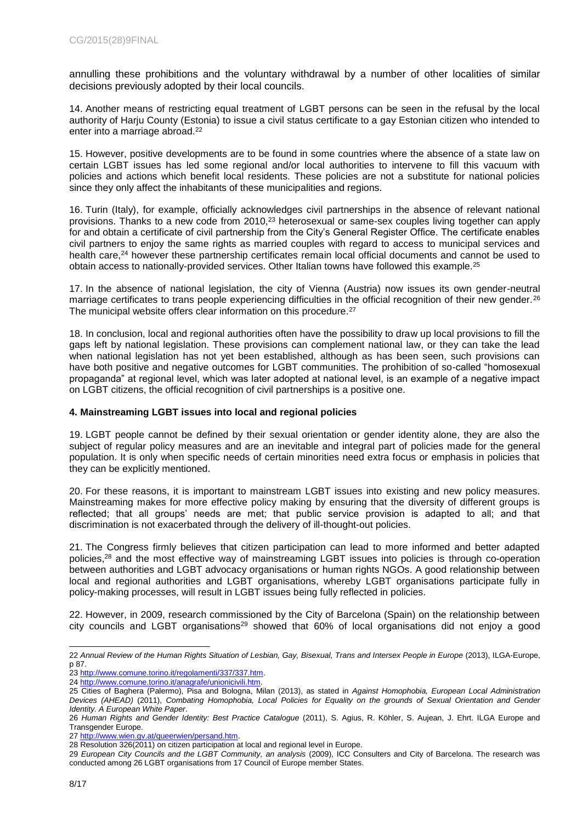annulling these prohibitions and the voluntary withdrawal by a number of other localities of similar decisions previously adopted by their local councils.

14. Another means of restricting equal treatment of LGBT persons can be seen in the refusal by the local authority of Harju County (Estonia) to issue a civil status certificate to a gay Estonian citizen who intended to enter into a marriage abroad.<sup>22</sup>

15. However, positive developments are to be found in some countries where the absence of a state law on certain LGBT issues has led some regional and/or local authorities to intervene to fill this vacuum with policies and actions which benefit local residents. These policies are not a substitute for national policies since they only affect the inhabitants of these municipalities and regions.

16. Turin (Italy), for example, officially acknowledges civil partnerships in the absence of relevant national provisions. Thanks to a new code from 2010,<sup>23</sup> heterosexual or same-sex couples living together can apply for and obtain a certificate of civil partnership from the City's General Register Office. The certificate enables civil partners to enjoy the same rights as married couples with regard to access to municipal services and health care,<sup>24</sup> however these partnership certificates remain local official documents and cannot be used to obtain access to nationally-provided services. Other Italian towns have followed this example.<sup>25</sup>

17. In the absence of national legislation, the city of Vienna (Austria) now issues its own gender-neutral marriage certificates to trans people experiencing difficulties in the official recognition of their new gender.<sup>26</sup> The municipal website offers clear information on this procedure.<sup>27</sup>

18. In conclusion, local and regional authorities often have the possibility to draw up local provisions to fill the gaps left by national legislation. These provisions can complement national law, or they can take the lead when national legislation has not yet been established, although as has been seen, such provisions can have both positive and negative outcomes for LGBT communities. The prohibition of so-called "homosexual propaganda" at regional level, which was later adopted at national level, is an example of a negative impact on LGBT citizens, the official recognition of civil partnerships is a positive one.

# **4. Mainstreaming LGBT issues into local and regional policies**

19. LGBT people cannot be defined by their sexual orientation or gender identity alone, they are also the subject of regular policy measures and are an inevitable and integral part of policies made for the general population. It is only when specific needs of certain minorities need extra focus or emphasis in policies that they can be explicitly mentioned.

20. For these reasons, it is important to mainstream LGBT issues into existing and new policy measures. Mainstreaming makes for more effective policy making by ensuring that the diversity of different groups is reflected; that all groups' needs are met; that public service provision is adapted to all; and that discrimination is not exacerbated through the delivery of ill-thought-out policies.

21. The Congress firmly believes that citizen participation can lead to more informed and better adapted policies,<sup>28</sup> and the most effective way of mainstreaming LGBT issues into policies is through co-operation between authorities and LGBT advocacy organisations or human rights NGOs. A good relationship between local and regional authorities and LGBT organisations, whereby LGBT organisations participate fully in policy-making processes, will result in LGBT issues being fully reflected in policies.

22. However, in 2009, research commissioned by the City of Barcelona (Spain) on the relationship between city councils and LGBT organisations<sup>29</sup> showed that 60% of local organisations did not enjoy a good

l 22 *Annual Review of the Human Rights Situation of Lesbian, Gay, Bisexual, Trans and Intersex People in Europe* (2013), ILGA-Europe, p 87.

<sup>23</sup> [http://www.comune.torino.it/regolamenti/337/337.htm.](http://www.comune.torino.it/regolamenti/337/337.htm)

<sup>24</sup> [http://www.comune.torino.it/anagrafe/unionicivili.htm.](http://www.comune.torino.it/anagrafe/unionicivili.htm)

<sup>25</sup> Cities of Baghera (Palermo), Pisa and Bologna, Milan (2013), as stated in *Against Homophobia, European Local Administration Devices (AHEAD)* (2011), *Combating Homophobia, Local Policies for Equality on the grounds of Sexual Orientation and Gender Identity. A European White Paper*.

<sup>26</sup> *Human Rights and Gender Identity: Best Practice Catalogue* (2011), S. Agius, R. Köhler, S. Aujean, J. Ehrt. ILGA Europe and Transgender Europe.

<sup>27</sup> [http://www.wien.gv.at/queerwien/persand.htm.](http://www.wien.gv.at/queerwien/persand.htm)

<sup>28</sup> Resolution 326(2011) on citizen participation at local and regional level in Europe.

<sup>29</sup> *European City Councils and the LGBT Community, an analysis* (2009), ICC Consulters and City of Barcelona. The research was conducted among 26 LGBT organisations from 17 Council of Europe member States.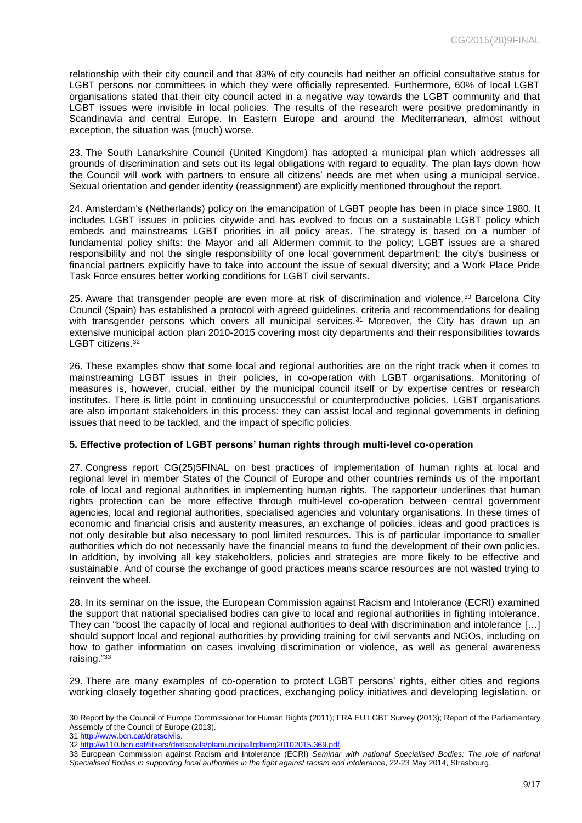relationship with their city council and that 83% of city councils had neither an official consultative status for LGBT persons nor committees in which they were officially represented. Furthermore, 60% of local LGBT organisations stated that their city council acted in a negative way towards the LGBT community and that LGBT issues were invisible in local policies. The results of the research were positive predominantly in Scandinavia and central Europe. In Eastern Europe and around the Mediterranean, almost without exception, the situation was (much) worse.

23. The South Lanarkshire Council (United Kingdom) has adopted a municipal plan which addresses all grounds of discrimination and sets out its legal obligations with regard to equality. The plan lays down how the Council will work with partners to ensure all citizens' needs are met when using a municipal service. Sexual orientation and gender identity (reassignment) are explicitly mentioned throughout the report.

24. Amsterdam's (Netherlands) policy on the emancipation of LGBT people has been in place since 1980. It includes LGBT issues in policies citywide and has evolved to focus on a sustainable LGBT policy which embeds and mainstreams LGBT priorities in all policy areas. The strategy is based on a number of fundamental policy shifts: the Mayor and all Aldermen commit to the policy; LGBT issues are a shared responsibility and not the single responsibility of one local government department; the city's business or financial partners explicitly have to take into account the issue of sexual diversity; and a Work Place Pride Task Force ensures better working conditions for LGBT civil servants.

25. Aware that transgender people are even more at risk of discrimination and violence,<sup>30</sup> Barcelona City Council (Spain) has established a protocol with agreed guidelines, criteria and recommendations for dealing with transgender persons which covers all municipal services.<sup>31</sup> Moreover, the City has drawn up an extensive municipal action plan 2010-2015 covering most city departments and their responsibilities towards LGBT citizens.<sup>32</sup>

26. These examples show that some local and regional authorities are on the right track when it comes to mainstreaming LGBT issues in their policies, in co-operation with LGBT organisations. Monitoring of measures is, however, crucial, either by the municipal council itself or by expertise centres or research institutes. There is little point in continuing unsuccessful or counterproductive policies. LGBT organisations are also important stakeholders in this process: they can assist local and regional governments in defining issues that need to be tackled, and the impact of specific policies.

#### **5. Effective protection of LGBT persons' human rights through multi-level co-operation**

27. Congress report CG(25)5FINAL on best practices of implementation of human rights at local and regional level in member States of the Council of Europe and other countries reminds us of the important role of local and regional authorities in implementing human rights. The rapporteur underlines that human rights protection can be more effective through multi-level co-operation between central government agencies, local and regional authorities, specialised agencies and voluntary organisations. In these times of economic and financial crisis and austerity measures, an exchange of policies, ideas and good practices is not only desirable but also necessary to pool limited resources. This is of particular importance to smaller authorities which do not necessarily have the financial means to fund the development of their own policies. In addition, by involving all key stakeholders, policies and strategies are more likely to be effective and sustainable. And of course the exchange of good practices means scarce resources are not wasted trying to reinvent the wheel.

28. In its seminar on the issue, the European Commission against Racism and Intolerance (ECRI) examined the support that national specialised bodies can give to local and regional authorities in fighting intolerance. They can "boost the capacity of local and regional authorities to deal with discrimination and intolerance […] should support local and regional authorities by providing training for civil servants and NGOs, including on how to gather information on cases involving discrimination or violence, as well as general awareness raising."<sup>33</sup>

29. There are many examples of co-operation to protect LGBT persons' rights, either cities and regions working closely together sharing good practices, exchanging policy initiatives and developing legislation, or

l 30 Report by the Council of Europe Commissioner for Human Rights (2011); FRA EU LGBT Survey (2013); Report of the Parliamentary Assembly of the Council of Europe (2013).

<sup>31</sup> [http://www.bcn.cat/dretscivils.](http://www.bcn.cat/dretscivils)

<sup>32</sup> [http://w110.bcn.cat/fitxers/dretscivils/plamunicipallgtbeng20102015.369.pdf.](http://w110.bcn.cat/fitxers/dretscivils/plamunicipallgtbeng20102015.369.pdf)

<sup>33</sup> European Commission against Racism and Intolerance (ECRI) *Seminar with national Specialised Bodies: The role of national Specialised Bodies in supporting local authorities in the fight against racism and intolerance*, 22-23 May 2014, Strasbourg.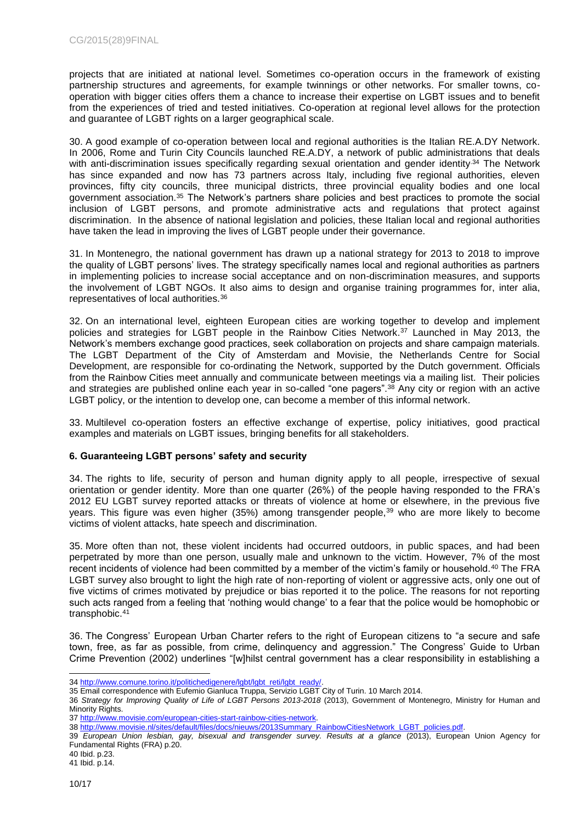projects that are initiated at national level. Sometimes co-operation occurs in the framework of existing partnership structures and agreements, for example twinnings or other networks. For smaller towns, cooperation with bigger cities offers them a chance to increase their expertise on LGBT issues and to benefit from the experiences of tried and tested initiatives. Co-operation at regional level allows for the protection and guarantee of LGBT rights on a larger geographical scale.

30. A good example of co-operation between local and regional authorities is the Italian RE.A.DY Network. In 2006, Rome and Turin City Councils launched RE.A.DY, a network of public administrations that deals with anti-discrimination issues specifically regarding sexual orientation and gender identity.<sup>34</sup> The Network has since expanded and now has 73 partners across Italy, including five regional authorities, eleven provinces, fifty city councils, three municipal districts, three provincial equality bodies and one local government association.<sup>35</sup> The Network's partners share policies and best practices to promote the social inclusion of LGBT persons, and promote administrative acts and regulations that protect against discrimination. In the absence of national legislation and policies, these Italian local and regional authorities have taken the lead in improving the lives of LGBT people under their governance.

31. In Montenegro, the national government has drawn up a national strategy for 2013 to 2018 to improve the quality of LGBT persons' lives. The strategy specifically names local and regional authorities as partners in implementing policies to increase social acceptance and on non-discrimination measures, and supports the involvement of LGBT NGOs. It also aims to design and organise training programmes for, inter alia, representatives of local authorities.<sup>36</sup>

32. On an international level, eighteen European cities are working together to develop and implement policies and strategies for LGBT people in the Rainbow Cities Network.<sup>37</sup> Launched in May 2013, the Network's members exchange good practices, seek collaboration on projects and share campaign materials. The LGBT Department of the City of Amsterdam and Movisie, the Netherlands Centre for Social Development, are responsible for co-ordinating the Network, supported by the Dutch government. Officials from the Rainbow Cities meet annually and communicate between meetings via a mailing list. Their policies and strategies are published online each year in so-called "one pagers".<sup>38</sup> Any city or region with an active LGBT policy, or the intention to develop one, can become a member of this informal network.

33. Multilevel co-operation fosters an effective exchange of expertise, policy initiatives, good practical examples and materials on LGBT issues, bringing benefits for all stakeholders.

# **6. Guaranteeing LGBT persons' safety and security**

34. The rights to life, security of person and human dignity apply to all people, irrespective of sexual orientation or gender identity. More than one quarter (26%) of the people having responded to the FRA's 2012 EU LGBT survey reported attacks or threats of violence at home or elsewhere, in the previous five years. This figure was even higher (35%) among transgender people,<sup>39</sup> who are more likely to become victims of violent attacks, hate speech and discrimination.

35. More often than not, these violent incidents had occurred outdoors, in public spaces, and had been perpetrated by more than one person, usually male and unknown to the victim. However, 7% of the most recent incidents of violence had been committed by a member of the victim's family or household.<sup>40</sup> The FRA LGBT survey also brought to light the high rate of non-reporting of violent or aggressive acts, only one out of five victims of crimes motivated by prejudice or bias reported it to the police. The reasons for not reporting such acts ranged from a feeling that 'nothing would change' to a fear that the police would be homophobic or transphobic.<sup>41</sup>

36. The Congress' European Urban Charter refers to the right of European citizens to "a secure and safe town, free, as far as possible, from crime, delinquency and aggression." The Congress' Guide to Urban Crime Prevention (2002) underlines "[w]hilst central government has a clear responsibility in establishing a

39 *European Union lesbian, gay, bisexual and transgender survey. Results at a glance* (2013), European Union Agency for Fundamental Rights (FRA) p.20.

l 34 http://www.comune.torino.it/politichedigenere/lgbt/lgbt\_reti/lgbt\_read

<sup>35</sup> Email correspondence with Eufemio Gianluca Truppa, Servizio LGBT City of Turin. 10 March 2014.

<sup>36</sup> *Strategy for Improving Quality of Life of LGBT Persons 2013-2018* (2013), Government of Montenegro, Ministry for Human and Minority Rights.

<sup>37</sup> [http://www.movisie.com/european-cities-start-rainbow-cities-network.](http://www.movisie.com/european-cities-start-rainbow-cities-network)

<sup>38</sup> [http://www.movisie.nl/sites/default/files/docs/nieuws/2013Summary\\_RainbowCitiesNetwork\\_LGBT\\_policies.pdf.](http://www.movisie.nl/sites/default/files/docs/nieuws/2013Summary_RainbowCitiesNetwork_LGBT_policies.pdf)

<sup>40</sup> Ibid. p.23. 41 Ibid. p.14.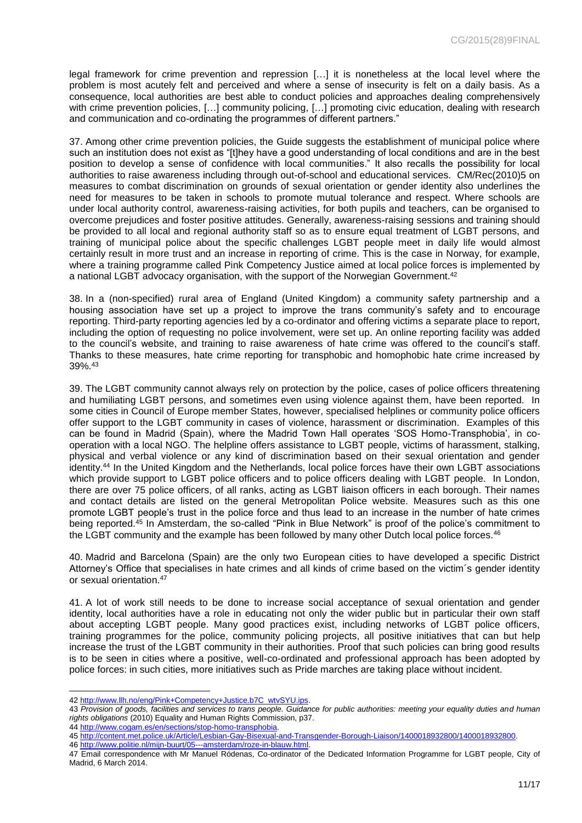legal framework for crime prevention and repression […] it is nonetheless at the local level where the problem is most acutely felt and perceived and where a sense of insecurity is felt on a daily basis. As a consequence, local authorities are best able to conduct policies and approaches dealing comprehensively with crime prevention policies, [...] community policing, [...] promoting civic education, dealing with research and communication and co-ordinating the programmes of different partners."

37. Among other crime prevention policies, the Guide suggests the establishment of municipal police where such an institution does not exist as "[t]hey have a good understanding of local conditions and are in the best position to develop a sense of confidence with local communities." It also recalls the possibility for local authorities to raise awareness including through out-of-school and educational services. CM/Rec(2010)5 on measures to combat discrimination on grounds of sexual orientation or gender identity also underlines the need for measures to be taken in schools to promote mutual tolerance and respect. Where schools are under local authority control, awareness-raising activities, for both pupils and teachers, can be organised to overcome prejudices and foster positive attitudes. Generally, awareness-raising sessions and training should be provided to all local and regional authority staff so as to ensure equal treatment of LGBT persons, and training of municipal police about the specific challenges LGBT people meet in daily life would almost certainly result in more trust and an increase in reporting of crime. This is the case in Norway, for example, where a training programme called Pink Competency Justice aimed at local police forces is implemented by a national LGBT advocacy organisation, with the support of the Norwegian Government.<sup>42</sup>

38. In a (non-specified) rural area of England (United Kingdom) a community safety partnership and a housing association have set up a project to improve the trans community's safety and to encourage reporting. Third-party reporting agencies led by a co-ordinator and offering victims a separate place to report, including the option of requesting no police involvement, were set up. An online reporting facility was added to the council's website, and training to raise awareness of hate crime was offered to the council's staff. Thanks to these measures, hate crime reporting for transphobic and homophobic hate crime increased by 39%.<sup>43</sup>

39. The LGBT community cannot always rely on protection by the police, cases of police officers threatening and humiliating LGBT persons, and sometimes even using violence against them, have been reported. In some cities in Council of Europe member States, however, specialised helplines or community police officers offer support to the LGBT community in cases of violence, harassment or discrimination. Examples of this can be found in Madrid (Spain), where the Madrid Town Hall operates 'SOS Homo-Transphobia', in cooperation with a local NGO. The helpline offers assistance to LGBT people, victims of harassment, stalking, physical and verbal violence or any kind of discrimination based on their sexual orientation and gender identity.<sup>44</sup> In the United Kingdom and the Netherlands, local police forces have their own LGBT associations which provide support to LGBT police officers and to police officers dealing with LGBT people. In London, there are over 75 police officers, of all ranks, acting as LGBT liaison officers in each borough. Their names and contact details are listed on the general Metropolitan Police website. Measures such as this one promote LGBT people's trust in the police force and thus lead to an increase in the number of hate crimes being reported.<sup>45</sup> In Amsterdam, the so-called "Pink in Blue Network" is proof of the police's commitment to the LGBT community and the example has been followed by many other Dutch local police forces.<sup>46</sup>

40. Madrid and Barcelona (Spain) are the only two European cities to have developed a specific District Attorney's Office that specialises in hate crimes and all kinds of crime based on the victim´s gender identity or sexual orientation.<sup>47</sup>

41. A lot of work still needs to be done to increase social acceptance of sexual orientation and gender identity, local authorities have a role in educating not only the wider public but in particular their own staff about accepting LGBT people. Many good practices exist, including networks of LGBT police officers, training programmes for the police, community policing projects, all positive initiatives that can but help increase the trust of the LGBT community in their authorities. Proof that such policies can bring good results is to be seen in cities where a positive, well-co-ordinated and professional approach has been adopted by police forces: in such cities, more initiatives such as Pride marches are taking place without incident.

44 [http://www.cogam.es/en/sections/stop-homo-transphobia.](http://www.cogam.es/en/sections/stop-homo-transphobia)

l

<sup>42</sup> [http://www.llh.no/eng/Pink+Competency+Justice.b7C\\_wtvSYU.ips.](http://www.llh.no/eng/Pink+Competency+Justice.b7C_wtvSYU.ips)

<sup>43</sup> *Provision of goods, facilities and services to trans people. Guidance for public authorities: meeting your equality duties and human rights obligations* (2010) Equality and Human Rights Commission, p37.

<sup>45</sup> [http://content.met.police.uk/Article/Lesbian-Gay-Bisexual-and-Transgender-Borough-Liaison/1400018932800/1400018932800.](http://content.met.police.uk/Article/Lesbian-Gay-Bisexual-and-Transgender-Borough-Liaison/1400018932800/1400018932800)

<sup>46</sup> [http://www.politie.nl/mijn-buurt/05---amsterdam/roze-in-blauw.html.](http://www.politie.nl/mijn-buurt/05---amsterdam/roze-in-blauw.html)

<sup>47</sup> Email correspondence with Mr Manuel Ródenas, Co-ordinator of the Dedicated Information Programme for LGBT people, City of Madrid, 6 March 2014.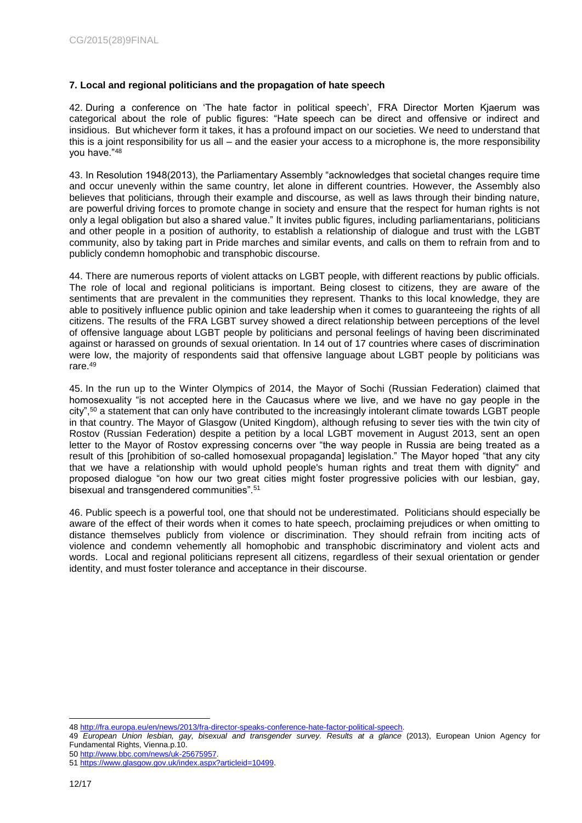# **7. Local and regional politicians and the propagation of hate speech**

42. During a conference on 'The hate factor in political speech', FRA Director Morten Kjaerum was categorical about the role of public figures: "Hate speech can be direct and offensive or indirect and insidious. But whichever form it takes, it has a profound impact on our societies. We need to understand that this is a joint responsibility for us all – and the easier your access to a microphone is, the more responsibility you have."<sup>48</sup>

43. In Resolution 1948(2013), the Parliamentary Assembly "acknowledges that societal changes require time and occur unevenly within the same country, let alone in different countries. However, the Assembly also believes that politicians, through their example and discourse, as well as laws through their binding nature, are powerful driving forces to promote change in society and ensure that the respect for human rights is not only a legal obligation but also a shared value." It invites public figures, including parliamentarians, politicians and other people in a position of authority, to establish a relationship of dialogue and trust with the LGBT community, also by taking part in Pride marches and similar events, and calls on them to refrain from and to publicly condemn homophobic and transphobic discourse.

44. There are numerous reports of violent attacks on LGBT people, with different reactions by public officials. The role of local and regional politicians is important. Being closest to citizens, they are aware of the sentiments that are prevalent in the communities they represent. Thanks to this local knowledge, they are able to positively influence public opinion and take leadership when it comes to guaranteeing the rights of all citizens. The results of the FRA LGBT survey showed a direct relationship between perceptions of the level of offensive language about LGBT people by politicians and personal feelings of having been discriminated against or harassed on grounds of sexual orientation. In 14 out of 17 countries where cases of discrimination were low, the majority of respondents said that offensive language about LGBT people by politicians was rare.<sup>49</sup>

45. In the run up to the Winter Olympics of 2014, the Mayor of Sochi (Russian Federation) claimed that homosexuality "is not accepted here in the Caucasus where we live, and we have no gay people in the city",<sup>50</sup> a statement that can only have contributed to the increasingly intolerant climate towards LGBT people in that country. The Mayor of Glasgow (United Kingdom), although refusing to sever ties with the twin city of Rostov (Russian Federation) despite a petition by a local LGBT movement in August 2013, sent an open letter to the Mayor of Rostov expressing concerns over "the way people in Russia are being treated as a result of this [prohibition of so-called homosexual propaganda] legislation." The Mayor hoped "that any city that we have a relationship with would uphold people's human rights and treat them with dignity" and proposed dialogue "on how our two great cities might foster progressive policies with our lesbian, gay, bisexual and transgendered communities".<sup>51</sup>

46. Public speech is a powerful tool, one that should not be underestimated. Politicians should especially be aware of the effect of their words when it comes to hate speech, proclaiming prejudices or when omitting to distance themselves publicly from violence or discrimination. They should refrain from inciting acts of violence and condemn vehemently all homophobic and transphobic discriminatory and violent acts and words. Local and regional politicians represent all citizens, regardless of their sexual orientation or gender identity, and must foster tolerance and acceptance in their discourse.

l

<sup>48</sup> [http://fra.europa.eu/en/news/2013/fra-director-speaks-conference-hate-factor-political-speech.](http://fra.europa.eu/en/news/2013/fra-director-speaks-conference-hate-factor-political-speech)

<sup>49</sup> *European Union lesbian, gay, bisexual and transgender survey. Results at a glance* (2013), European Union Agency for Fundamental Rights, Vienna.p.10.

<sup>50</sup> [http://www.bbc.com/news/uk-25675957.](http://www.bbc.com/news/uk-25675957)

<sup>51</sup> [https://www.glasgow.gov.uk/index.aspx?articleid=10499.](https://www.glasgow.gov.uk/index.aspx?articleid=10499)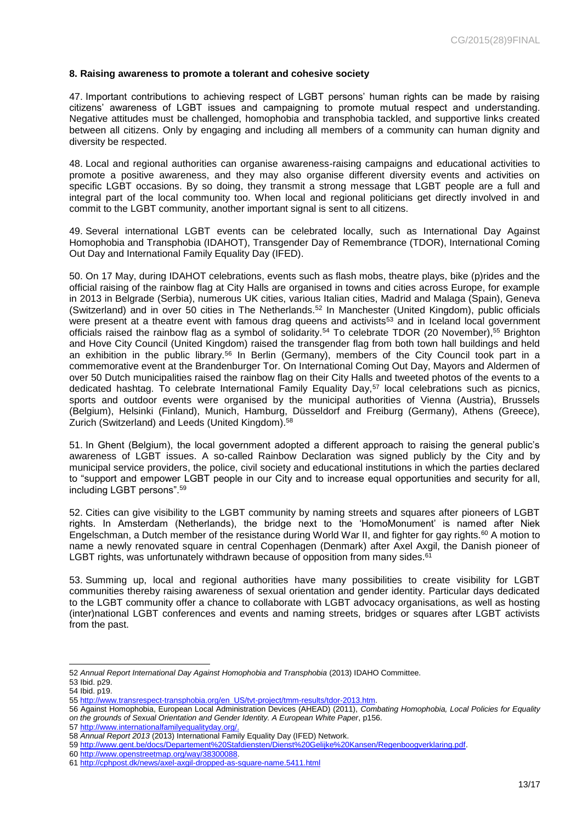#### **8. Raising awareness to promote a tolerant and cohesive society**

47. Important contributions to achieving respect of LGBT persons' human rights can be made by raising citizens' awareness of LGBT issues and campaigning to promote mutual respect and understanding. Negative attitudes must be challenged, homophobia and transphobia tackled, and supportive links created between all citizens. Only by engaging and including all members of a community can human dignity and diversity be respected.

48. Local and regional authorities can organise awareness-raising campaigns and educational activities to promote a positive awareness, and they may also organise different diversity events and activities on specific LGBT occasions. By so doing, they transmit a strong message that LGBT people are a full and integral part of the local community too. When local and regional politicians get directly involved in and commit to the LGBT community, another important signal is sent to all citizens.

49. Several international LGBT events can be celebrated locally, such as International Day Against Homophobia and Transphobia (IDAHOT), Transgender Day of Remembrance (TDOR), International Coming Out Day and International Family Equality Day (IFED).

50. On 17 May, during IDAHOT celebrations, events such as flash mobs, theatre plays, bike (p)rides and the official raising of the rainbow flag at City Halls are organised in towns and cities across Europe, for example in 2013 in Belgrade (Serbia), numerous UK cities, various Italian cities, Madrid and Malaga (Spain), Geneva (Switzerland) and in over 50 cities in The Netherlands.<sup>52</sup> In Manchester (United Kingdom), public officials were present at a theatre event with famous drag queens and activists<sup>53</sup> and in Iceland local government officials raised the rainbow flag as a symbol of solidarity.<sup>54</sup> To celebrate TDOR (20 November),<sup>55</sup> Brighton and Hove City Council (United Kingdom) raised the transgender flag from both town hall buildings and held an exhibition in the public library.<sup>56</sup> In Berlin (Germany), members of the City Council took part in a commemorative event at the Brandenburger Tor. On International Coming Out Day, Mayors and Aldermen of over 50 Dutch municipalities raised the rainbow flag on their City Halls and tweeted photos of the events to a dedicated hashtag. To celebrate International Family Equality Day,<sup>57</sup> local celebrations such as picnics, sports and outdoor events were organised by the municipal authorities of Vienna (Austria), Brussels (Belgium), Helsinki (Finland), Munich, Hamburg, Düsseldorf and Freiburg (Germany), Athens (Greece), Zurich (Switzerland) and Leeds (United Kingdom).<sup>58</sup>

51. In Ghent (Belgium), the local government adopted a different approach to raising the general public's awareness of LGBT issues. A so-called Rainbow Declaration was signed publicly by the City and by municipal service providers, the police, civil society and educational institutions in which the parties declared to "support and empower LGBT people in our City and to increase equal opportunities and security for all, including LGBT persons".<sup>59</sup>

52. Cities can give visibility to the LGBT community by naming streets and squares after pioneers of LGBT rights. In Amsterdam (Netherlands), the bridge next to the 'HomoMonument' is named after Niek Engelschman, a Dutch member of the resistance during World War II, and fighter for gay rights.<sup>60</sup> A motion to name a newly renovated square in central Copenhagen (Denmark) after Axel Axgil, the Danish pioneer of LGBT rights, was unfortunately withdrawn because of opposition from many sides.<sup>61</sup>

53. Summing up, local and regional authorities have many possibilities to create visibility for LGBT communities thereby raising awareness of sexual orientation and gender identity. Particular days dedicated to the LGBT community offer a chance to collaborate with LGBT advocacy organisations, as well as hosting (inter)national LGBT conferences and events and naming streets, bridges or squares after LGBT activists from the past.

l

57 [http://www.internationalfamilyequalityday.org/.](http://www.internationalfamilyequalityday.org/)

<sup>52</sup> *Annual Report International Day Against Homophobia and Transphobia* (2013) IDAHO Committee.

<sup>53</sup> Ibid. p29. 54 Ibid. p19.

<sup>55</sup> [http://www.transrespect-transphobia.org/en\\_US/tvt-project/tmm-results/tdor-2013.htm.](http://www.transrespect-transphobia.org/en_US/tvt-project/tmm-results/tdor-2013.htm)

<sup>56</sup> Against Homophobia, European Local Administration Devices (AHEAD) (2011), *Combating Homophobia, Local Policies for Equality on the grounds of Sexual Orientation and Gender Identity. A European White Paper*, p156.

<sup>58</sup> Annual Report 2013 (2013) International Family Equality Day (IFED) Network.<br>59 http://www.gent.be/docs/Departement%20Stafdiensten/Dienst%20Gelijke%20

iensten/Dienst%20Gelijke%20Kansen/Regenboogverklaring.pdf.

<sup>60</sup> [http://www.openstreetmap.org/way/38300088.](http://www.openstreetmap.org/way/38300088)

<sup>61</sup> <http://cphpost.dk/news/axel-axgil-dropped-as-square-name.5411.html>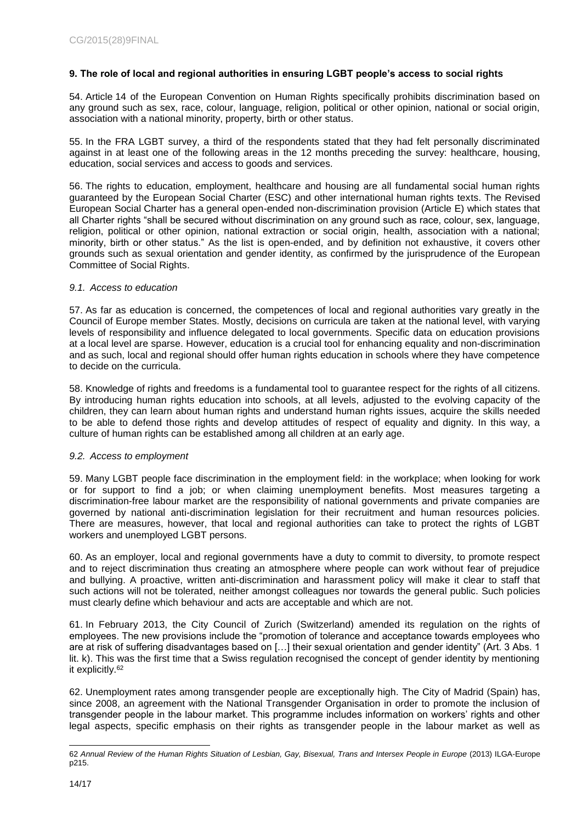### **9. The role of local and regional authorities in ensuring LGBT people's access to social rights**

54. Article 14 of the European Convention on Human Rights specifically prohibits discrimination based on any ground such as sex, race, colour, language, religion, political or other opinion, national or social origin, association with a national minority, property, birth or other status.

55. In the FRA LGBT survey, a third of the respondents stated that they had felt personally discriminated against in at least one of the following areas in the 12 months preceding the survey: healthcare, housing, education, social services and access to goods and services.

56. The rights to education, employment, healthcare and housing are all fundamental social human rights guaranteed by the European Social Charter (ESC) and other international human rights texts. The Revised European Social Charter has a general open-ended non-discrimination provision (Article E) which states that all Charter rights "shall be secured without discrimination on any ground such as race, colour, sex, language, religion, political or other opinion, national extraction or social origin, health, association with a national; minority, birth or other status." As the list is open-ended, and by definition not exhaustive, it covers other grounds such as sexual orientation and gender identity, as confirmed by the jurisprudence of the European Committee of Social Rights.

#### *9.1. Access to education*

57. As far as education is concerned, the competences of local and regional authorities vary greatly in the Council of Europe member States. Mostly, decisions on curricula are taken at the national level, with varying levels of responsibility and influence delegated to local governments. Specific data on education provisions at a local level are sparse. However, education is a crucial tool for enhancing equality and non-discrimination and as such, local and regional should offer human rights education in schools where they have competence to decide on the curricula.

58. Knowledge of rights and freedoms is a fundamental tool to guarantee respect for the rights of all citizens. By introducing human rights education into schools, at all levels, adjusted to the evolving capacity of the children, they can learn about human rights and understand human rights issues, acquire the skills needed to be able to defend those rights and develop attitudes of respect of equality and dignity. In this way, a culture of human rights can be established among all children at an early age.

#### *9.2. Access to employment*

59. Many LGBT people face discrimination in the employment field: in the workplace; when looking for work or for support to find a job; or when claiming unemployment benefits. Most measures targeting a discrimination-free labour market are the responsibility of national governments and private companies are governed by national anti-discrimination legislation for their recruitment and human resources policies. There are measures, however, that local and regional authorities can take to protect the rights of LGBT workers and unemployed LGBT persons.

60. As an employer, local and regional governments have a duty to commit to diversity, to promote respect and to reject discrimination thus creating an atmosphere where people can work without fear of prejudice and bullying. A proactive, written anti-discrimination and harassment policy will make it clear to staff that such actions will not be tolerated, neither amongst colleagues nor towards the general public. Such policies must clearly define which behaviour and acts are acceptable and which are not.

61. In February 2013, the City Council of Zurich (Switzerland) amended its regulation on the rights of employees. The new provisions include the "promotion of tolerance and acceptance towards employees who are at risk of suffering disadvantages based on […] their sexual orientation and gender identity" (Art. 3 Abs. 1 lit. k). This was the first time that a Swiss regulation recognised the concept of gender identity by mentioning it explicitly.<sup>62</sup>

62. Unemployment rates among transgender people are exceptionally high. The City of Madrid (Spain) has, since 2008, an agreement with the National Transgender Organisation in order to promote the inclusion of transgender people in the labour market. This programme includes information on workers' rights and other legal aspects, specific emphasis on their rights as transgender people in the labour market as well as

l 62 *Annual Review of the Human Rights Situation of Lesbian, Gay, Bisexual, Trans and Intersex People in Europe* (2013) ILGA-Europe p215.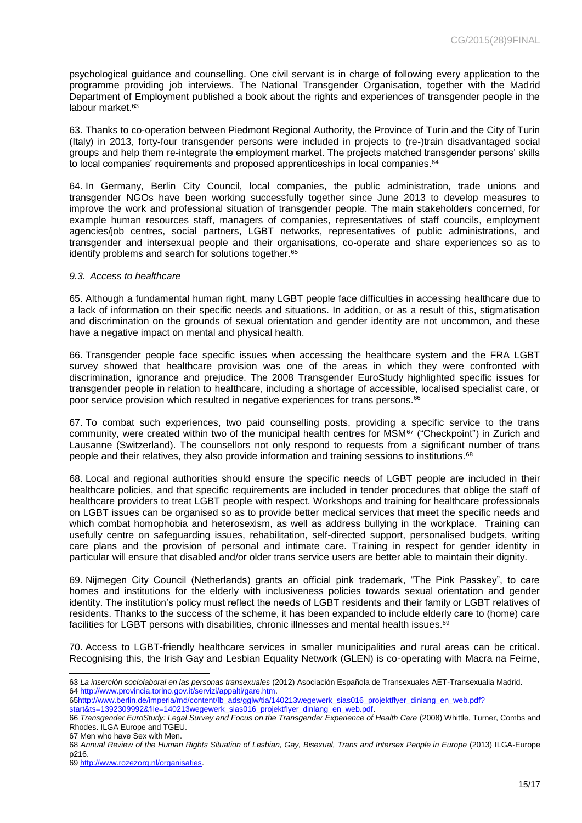psychological guidance and counselling. One civil servant is in charge of following every application to the programme providing job interviews. The National Transgender Organisation, together with the Madrid Department of Employment published a book about the rights and experiences of transgender people in the labour market.<sup>63</sup>

63. Thanks to co-operation between Piedmont Regional Authority, the Province of Turin and the City of Turin (Italy) in 2013, forty-four transgender persons were included in projects to (re-)train disadvantaged social groups and help them re-integrate the employment market. The projects matched transgender persons' skills to local companies' requirements and proposed apprenticeships in local companies.<sup>64</sup>

64. In Germany, Berlin City Council, local companies, the public administration, trade unions and transgender NGOs have been working successfully together since June 2013 to develop measures to improve the work and professional situation of transgender people. The main stakeholders concerned, for example human resources staff, managers of companies, representatives of staff councils, employment agencies/job centres, social partners, LGBT networks, representatives of public administrations, and transgender and intersexual people and their organisations, co-operate and share experiences so as to identify problems and search for solutions together.<sup>65</sup>

#### *9.3. Access to healthcare*

65. Although a fundamental human right, many LGBT people face difficulties in accessing healthcare due to a lack of information on their specific needs and situations. In addition, or as a result of this, stigmatisation and discrimination on the grounds of sexual orientation and gender identity are not uncommon, and these have a negative impact on mental and physical health.

66. Transgender people face specific issues when accessing the healthcare system and the FRA LGBT survey showed that healthcare provision was one of the areas in which they were confronted with discrimination, ignorance and prejudice. The 2008 Transgender EuroStudy highlighted specific issues for transgender people in relation to healthcare, including a shortage of accessible, localised specialist care, or poor service provision which resulted in negative experiences for trans persons.<sup>66</sup>

67. To combat such experiences, two paid counselling posts, providing a specific service to the trans community, were created within two of the municipal health centres for MSM<sup>67</sup> ("Checkpoint") in Zurich and Lausanne (Switzerland). The counsellors not only respond to requests from a significant number of trans people and their relatives, they also provide information and training sessions to institutions.<sup>68</sup>

68. Local and regional authorities should ensure the specific needs of LGBT people are included in their healthcare policies, and that specific requirements are included in tender procedures that oblige the staff of healthcare providers to treat LGBT people with respect. Workshops and training for healthcare professionals on LGBT issues can be organised so as to provide better medical services that meet the specific needs and which combat homophobia and heterosexism, as well as address bullying in the workplace. Training can usefully centre on safeguarding issues, rehabilitation, self-directed support, personalised budgets, writing care plans and the provision of personal and intimate care. Training in respect for gender identity in particular will ensure that disabled and/or older trans service users are better able to maintain their dignity.

69. Nijmegen City Council (Netherlands) grants an official pink trademark, "The Pink Passkey", to care homes and institutions for the elderly with inclusiveness policies towards sexual orientation and gender identity. The institution's policy must reflect the needs of LGBT residents and their family or LGBT relatives of residents. Thanks to the success of the scheme, it has been expanded to include elderly care to (home) care facilities for LGBT persons with disabilities, chronic illnesses and mental health issues.<sup>69</sup>

70. Access to LGBT-friendly healthcare services in smaller municipalities and rural areas can be critical. Recognising this, the Irish Gay and Lesbian Equality Network (GLEN) is co-operating with Macra na Feirne,

67 Men who have Sex with Men.

l 63 *La inserción sociolaboral en las personas transexuales* (2012) Asociación Española de Transexuales AET-Transexualia Madrid. 64 [http://www.provincia.torino.gov.it/servizi/appalti/gare.htm.](http://www.provincia.torino.gov.it/servizi/appalti/gare.htm)

<sup>65</sup>http://www.berlin.de/imperia/md/content/lb\_ads/gglw/tia/140213wegewerk\_sias016\_projektflyer\_dinlang\_en\_web.pdf? [start&ts=1392309992&file=140213wegewerk\\_sias016\\_projektflyer\\_dinlang\\_en\\_web.pdf.](http://www.berlin.de/imperia/md/content/lb_ads/gglw/tia/140213wegewerk_sias016_projektflyer_dinlang_en_web.pdf?%20start&ts=1392309992&file=140213wegewerk_sias016_projektflyer_dinlang_en_web.pdf)

<sup>66</sup> *Transgender EuroStudy: Legal Survey and Focus on the Transgender Experience of Health Care* (2008) Whittle, Turner, Combs and Rhodes. ILGA Europe and TGEU.

<sup>68</sup> *Annual Review of the Human Rights Situation of Lesbian, Gay, Bisexual, Trans and Intersex People in Europe* (2013) ILGA-Europe p216.

<sup>69</sup> [http://www.rozezorg.nl/organisaties.](http://www.rozezorg.nl/organisaties)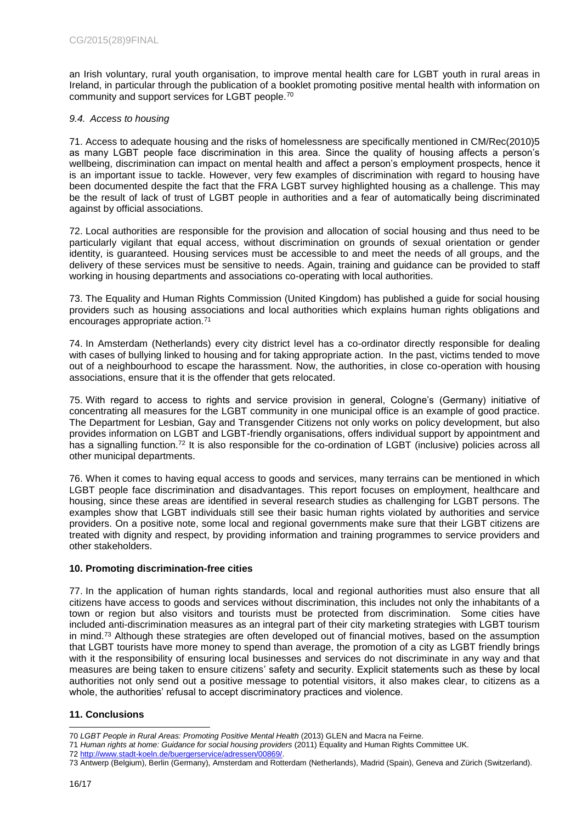an Irish voluntary, rural youth organisation, to improve mental health care for LGBT youth in rural areas in Ireland, in particular through the publication of a booklet promoting positive mental health with information on community and support services for LGBT people.<sup>70</sup>

### *9.4. Access to housing*

71. Access to adequate housing and the risks of homelessness are specifically mentioned in CM/Rec(2010)5 as many LGBT people face discrimination in this area. Since the quality of housing affects a person's wellbeing, discrimination can impact on mental health and affect a person's employment prospects, hence it is an important issue to tackle. However, very few examples of discrimination with regard to housing have been documented despite the fact that the FRA LGBT survey highlighted housing as a challenge. This may be the result of lack of trust of LGBT people in authorities and a fear of automatically being discriminated against by official associations.

72. Local authorities are responsible for the provision and allocation of social housing and thus need to be particularly vigilant that equal access, without discrimination on grounds of sexual orientation or gender identity, is guaranteed. Housing services must be accessible to and meet the needs of all groups, and the delivery of these services must be sensitive to needs. Again, training and guidance can be provided to staff working in housing departments and associations co-operating with local authorities.

73. The Equality and Human Rights Commission (United Kingdom) has published a guide for social housing providers such as housing associations and local authorities which explains human rights obligations and encourages appropriate action.<sup>71</sup>

74. In Amsterdam (Netherlands) every city district level has a co-ordinator directly responsible for dealing with cases of bullying linked to housing and for taking appropriate action. In the past, victims tended to move out of a neighbourhood to escape the harassment. Now, the authorities, in close co-operation with housing associations, ensure that it is the offender that gets relocated.

75. With regard to access to rights and service provision in general, Cologne's (Germany) initiative of concentrating all measures for the LGBT community in one municipal office is an example of good practice. The Department for Lesbian, Gay and Transgender Citizens not only works on policy development, but also provides information on LGBT and LGBT-friendly organisations, offers individual support by appointment and has a signalling function.<sup>72</sup> It is also responsible for the co-ordination of LGBT (inclusive) policies across all other municipal departments.

76. When it comes to having equal access to goods and services, many terrains can be mentioned in which LGBT people face discrimination and disadvantages. This report focuses on employment, healthcare and housing, since these areas are identified in several research studies as challenging for LGBT persons. The examples show that LGBT individuals still see their basic human rights violated by authorities and service providers. On a positive note, some local and regional governments make sure that their LGBT citizens are treated with dignity and respect, by providing information and training programmes to service providers and other stakeholders.

# **10. Promoting discrimination-free cities**

77. In the application of human rights standards, local and regional authorities must also ensure that all citizens have access to goods and services without discrimination, this includes not only the inhabitants of a town or region but also visitors and tourists must be protected from discrimination. Some cities have included anti-discrimination measures as an integral part of their city marketing strategies with LGBT tourism in mind.<sup>73</sup> Although these strategies are often developed out of financial motives, based on the assumption that LGBT tourists have more money to spend than average, the promotion of a city as LGBT friendly brings with it the responsibility of ensuring local businesses and services do not discriminate in any way and that measures are being taken to ensure citizens' safety and security. Explicit statements such as these by local authorities not only send out a positive message to potential visitors, it also makes clear, to citizens as a whole, the authorities' refusal to accept discriminatory practices and violence.

# **11. Conclusions**

l 70 *LGBT People in Rural Areas: Promoting Positive Mental Health* (2013) GLEN and Macra na Feirne.

<sup>71</sup> *Human rights at home: Guidance for social housing providers* (2011) Equality and Human Rights Committee UK.

<sup>72</sup> [http://www.stadt-koeln.de/buergerservice/adressen/00869/.](http://www.stadt-koeln.de/buergerservice/adressen/00869/)

<sup>73</sup> Antwerp (Belgium), Berlin (Germany), Amsterdam and Rotterdam (Netherlands), Madrid (Spain), Geneva and Zürich (Switzerland).